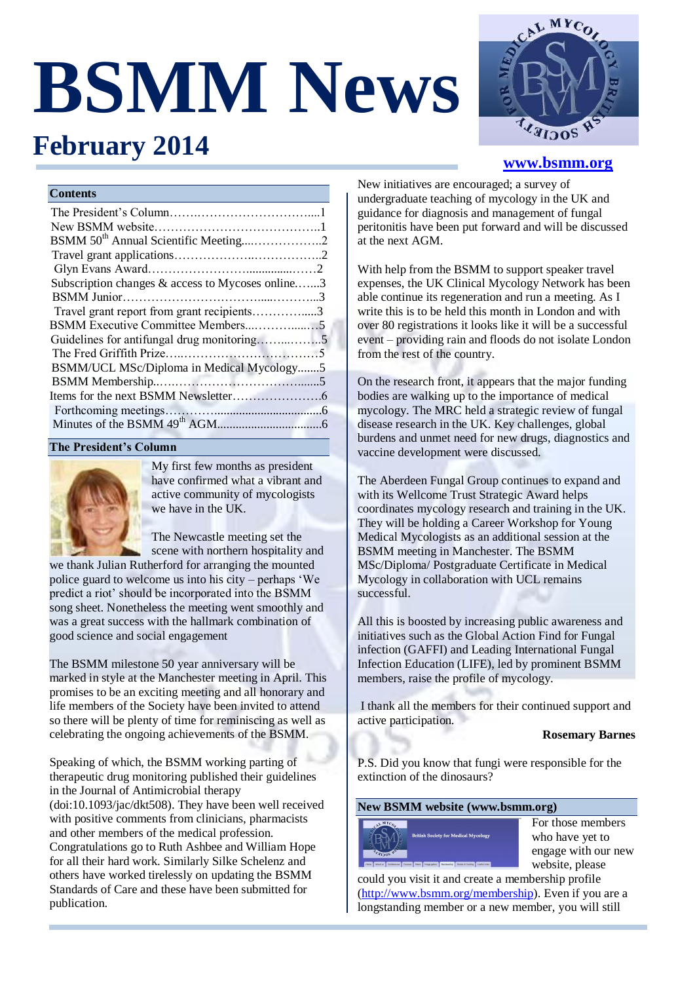# **BSMM News**



# **www.bsmm.org**

# **Contents**

**February 2014** 

| BSMM 50 <sup>th</sup> Annual Scientific Meeting2 |  |
|--------------------------------------------------|--|
|                                                  |  |
|                                                  |  |
| Subscription changes & access to Mycoses online3 |  |
|                                                  |  |
| Travel grant report from grant recipients3       |  |
| BSMM Executive Committee Members5                |  |
| Guidelines for antifungal drug monitoring5       |  |
|                                                  |  |
| BSMM/UCL MSc/Diploma in Medical Mycology5        |  |
|                                                  |  |
|                                                  |  |
|                                                  |  |
|                                                  |  |

# **The President's Column**



My first few months as president have confirmed what a vibrant and active community of mycologists we have in the UK.

The Newcastle meeting set the scene with northern hospitality and

we thank Julian Rutherford for arranging the mounted police guard to welcome us into his city – perhaps 'We predict a riot' should be incorporated into the BSMM song sheet. Nonetheless the meeting went smoothly and was a great success with the hallmark combination of good science and social engagement

The BSMM milestone 50 year anniversary will be marked in style at the Manchester meeting in April. This promises to be an exciting meeting and all honorary and life members of the Society have been invited to attend so there will be plenty of time for reminiscing as well as celebrating the ongoing achievements of the BSMM.

Speaking of which, the BSMM working parting of therapeutic drug monitoring published their guidelines in the Journal of Antimicrobial therapy (doi:10.1093/jac/dkt508). They have been well received with positive comments from clinicians, pharmacists and other members of the medical profession. Congratulations go to Ruth Ashbee and William Hope for all their hard work. Similarly Silke Schelenz and others have worked tirelessly on updating the BSMM Standards of Care and these have been submitted for publication.

New initiatives are encouraged; a survey of undergraduate teaching of mycology in the UK and guidance for diagnosis and management of fungal peritonitis have been put forward and will be discussed at the next AGM.

With help from the BSMM to support speaker travel expenses, the UK Clinical Mycology Network has been able continue its regeneration and run a meeting. As I write this is to be held this month in London and with over 80 registrations it looks like it will be a successful event – providing rain and floods do not isolate London from the rest of the country.

On the research front, it appears that the major funding bodies are walking up to the importance of medical mycology. The MRC held a strategic review of fungal disease research in the UK. Key challenges, global burdens and unmet need for new drugs, diagnostics and vaccine development were discussed.

The Aberdeen Fungal Group continues to expand and with its Wellcome Trust Strategic Award helps coordinates mycology research and training in the UK. They will be holding a Career Workshop for Young Medical Mycologists as an additional session at the BSMM meeting in Manchester. The BSMM MSc/Diploma/ Postgraduate Certificate in Medical Mycology in collaboration with UCL remains successful.

All this is boosted by increasing public awareness and initiatives such as the Global Action Find for Fungal infection (GAFFI) and Leading International Fungal Infection Education (LIFE), led by prominent BSMM members, raise the profile of mycology.

I thank all the members for their continued support and active participation.

# **Rosemary Barnes**

P.S. Did you know that fungi were responsible for the extinction of the dinosaurs?

# **New BSMM website (www.bsmm.org)**



For those members who have yet to engage with our new website, please

could you visit it and create a membership profile [\(http://www.bsmm.org/membership\)](http://www.bsmm.org/membership). Even if you are a longstanding member or a new member, you will still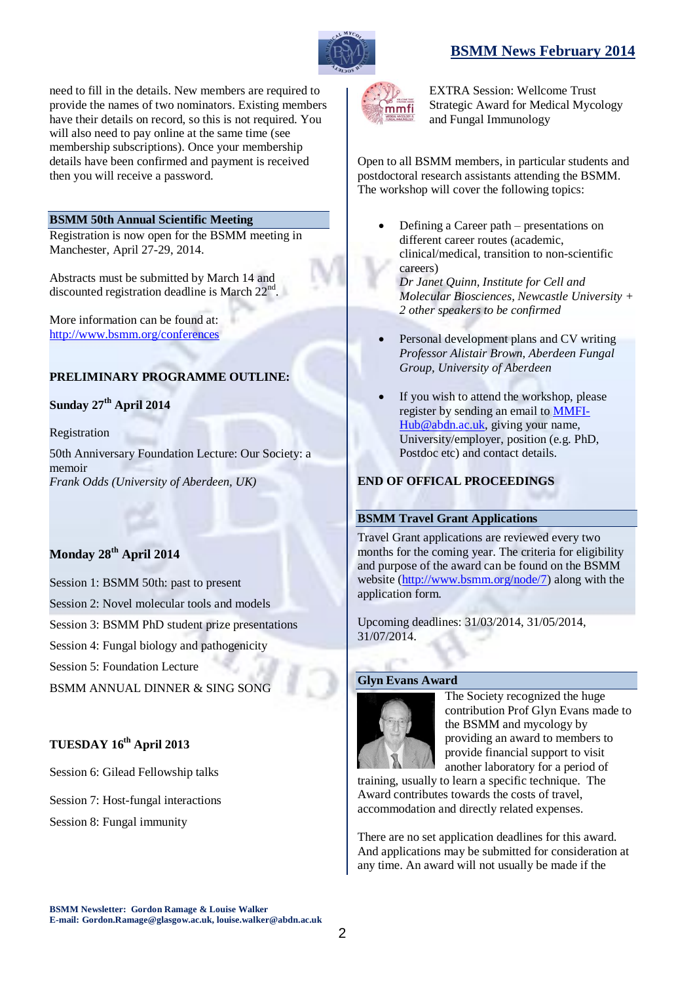# **BSMM News February 2014**

mmfi

EXTRA Session: Wellcome Trust Strategic Award for Medical Mycology and Fungal Immunology

Open to all BSMM members, in particular students and postdoctoral research assistants attending the BSMM. The workshop will cover the following topics:

- Defining a Career path presentations on different career routes (academic. clinical/medical, transition to non-scientific careers) *Dr Janet Quinn, Institute for Cell and Molecular Biosciences, Newcastle University + 2 other speakers to be confirmed*
- Personal development plans and CV writing *Professor Alistair Brown, Aberdeen Fungal Group, University of Aberdeen*
- If you wish to attend the workshop, please register by sending an email to [MMFI-](mailto:MMFI-Hub@abdn.ac.uk)[Hub@abdn.ac.uk,](mailto:MMFI-Hub@abdn.ac.uk) giving your name, University/employer, position (e.g. PhD, Postdoc etc) and contact details.

# **END OF OFFICAL PROCEEDINGS**

# **BSMM Travel Grant Applications**

Travel Grant applications are reviewed every two months for the coming year. The criteria for eligibility and purpose of the award can be found on the BSMM website [\(http://www.bsmm.org/node/7\)](http://www.bsmm.org/node/7) along with the application form.

Upcoming deadlines: 31/03/2014, 31/05/2014, 31/07/2014.

# **Glyn Evans Award**



The Society recognized the huge contribution Prof Glyn Evans made to the BSMM and mycology by providing an award to members to provide financial support to visit another laboratory for a period of

training, usually to learn a specific technique. The Award contributes towards the costs of travel, accommodation and directly related expenses.

There are no set application deadlines for this award. And applications may be submitted for consideration at any time. An award will not usually be made if the

need to fill in the details. New members are required to provide the names of two nominators. Existing members have their details on record, so this is not required. You will also need to pay online at the same time (see membership subscriptions). Once your membership details have been confirmed and payment is received then you will receive a password.

# **BSMM 50th Annual Scientific Meeting**

Registration is now open for the BSMM meeting in Manchester, April 27-29, 2014.

Abstracts must be submitted by March 14 and discounted registration deadline is March  $22<sup>nd</sup>$ .

More information can be found at: <http://www.bsmm.org/conferences>

# **PRELIMINARY PROGRAMME OUTLINE:**

# **Sunday 27th April 2014**

# Registration

50th Anniversary Foundation Lecture: Our Society: a memoir *Frank Odds (University of Aberdeen, UK)*

# **Monday 28th April 2014**

Session 1: BSMM 50th: past to present Session 2: Novel molecular tools and models Session 3: BSMM PhD student prize presentations Session 4: Fungal biology and pathogenicity

Session 5: Foundation Lecture

BSMM ANNUAL DINNER & SING SONG

# **TUESDAY 16th April 2013**

Session 6: Gilead Fellowship talks

Session 7: Host-fungal interactions

Session 8: Fungal immunity

**BSMM Newsletter: Gordon Ramage & Louise Walker E-mail: Gordon.Ramage@glasgow.ac.uk, louise.walker@abdn.ac.uk**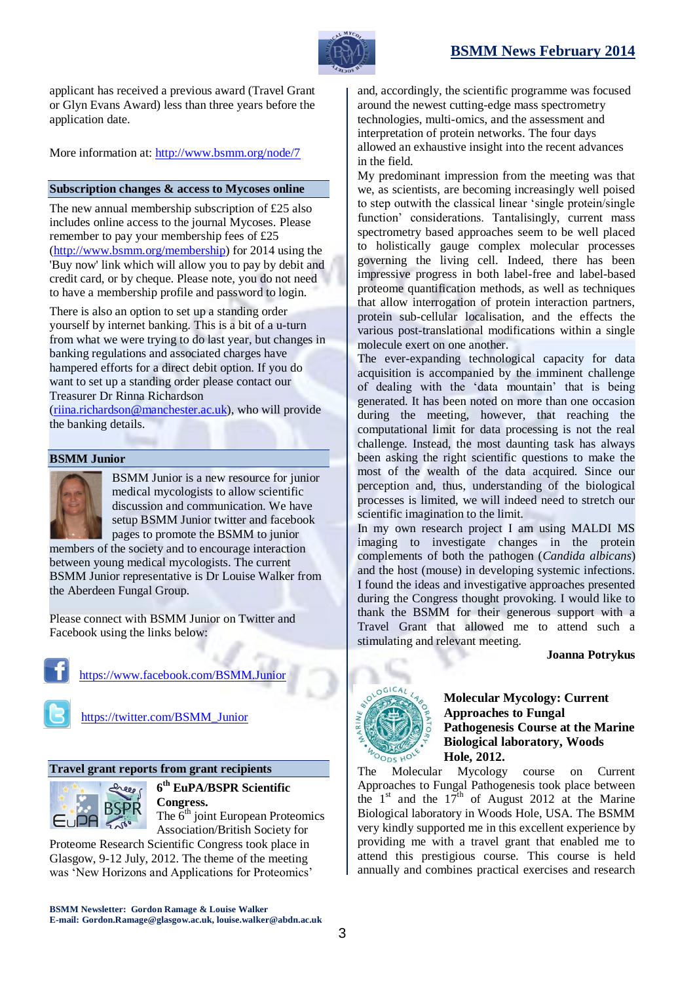

applicant has received a previous award (Travel Grant or Glyn Evans Award) less than three years before the application date.

More information at:<http://www.bsmm.org/node/7>

### **Subscription changes & access to Mycoses online**

The new annual membership subscription of £25 also includes online access to the journal Mycoses. Please remember to pay your membership fees of £25 [\(http://www.bsmm.org/membership\)](http://www.bsmm.org/membership) for 2014 using the 'Buy now' link which will allow you to pay by debit and credit card, or by cheque. Please note, you do not need to have a membership profile and password to login.

There is also an option to set up a standing order yourself by internet banking. This is a bit of a u-turn from what we were trying to do last year, but changes in banking regulations and associated charges have hampered efforts for a direct debit option. If you do want to set up a standing order please contact our Treasurer Dr Rinna Richardson

[\(riina.richardson@manchester.ac.uk\)](mailto:riina.richardson@manchester.ac.uk), who will provide the banking details.

### **BSMM Junior**



BSMM Junior is a new resource for junior medical mycologists to allow scientific discussion and communication. We have setup BSMM Junior twitter and facebook pages to promote the BSMM to junior

members of the society and to encourage interaction between young medical mycologists. The current BSMM Junior representative is Dr Louise Walker from the Aberdeen Fungal Group.

Please connect with BSMM Junior on Twitter and Facebook using the links below:



<https://www.facebook.com/BSMM.Junior>



[https://twitter.com/BSMM\\_Junior](https://twitter.com/BSMM_Junior)

### **Travel grant reports from grant recipients**



**6 th EuPA/BSPR Scientific Congress.**

The  $6<sup>th</sup>$  joint European Proteomics Association/British Society for

Proteome Research Scientific Congress took place in Glasgow, 9-12 July, 2012. The theme of the meeting was 'New Horizons and Applications for Proteomics'

**BSMM Newsletter: Gordon Ramage & Louise Walker E-mail: Gordon.Ramage@glasgow.ac.uk, louise.walker@abdn.ac.uk**

and, accordingly, the scientific programme was focused around the newest cutting-edge mass spectrometry technologies, multi-omics, and the assessment and interpretation of protein networks. The four days allowed an exhaustive insight into the recent advances in the field.

My predominant impression from the meeting was that we, as scientists, are becoming increasingly well poised to step outwith the classical linear 'single protein/single function' considerations. Tantalisingly, current mass spectrometry based approaches seem to be well placed to holistically gauge complex molecular processes governing the living cell. Indeed, there has been impressive progress in both label-free and label-based proteome quantification methods, as well as techniques that allow interrogation of protein interaction partners, protein sub-cellular localisation, and the effects the various post-translational modifications within a single molecule exert on one another.

The ever-expanding technological capacity for data acquisition is accompanied by the imminent challenge of dealing with the 'data mountain' that is being generated. It has been noted on more than one occasion during the meeting, however, that reaching the computational limit for data processing is not the real challenge. Instead, the most daunting task has always been asking the right scientific questions to make the most of the wealth of the data acquired. Since our perception and, thus, understanding of the biological processes is limited, we will indeed need to stretch our scientific imagination to the limit.

In my own research project I am using MALDI MS imaging to investigate changes in the protein complements of both the pathogen (*Candida albicans*) and the host (mouse) in developing systemic infections. I found the ideas and investigative approaches presented during the Congress thought provoking. I would like to thank the BSMM for their generous support with a Travel Grant that allowed me to attend such a stimulating and relevant meeting.

### **Joanna Potrykus**



**Molecular Mycology: Current Approaches to Fungal Pathogenesis Course at the Marine Biological laboratory, Woods Hole, 2012.**

The Molecular Mycology course on Current Approaches to Fungal Pathogenesis took place between the  $1<sup>st</sup>$  and the  $17<sup>th</sup>$  of August 2012 at the Marine Biological laboratory in Woods Hole, USA. The BSMM very kindly supported me in this excellent experience by providing me with a travel grant that enabled me to attend this prestigious course. This course is held annually and combines practical exercises and research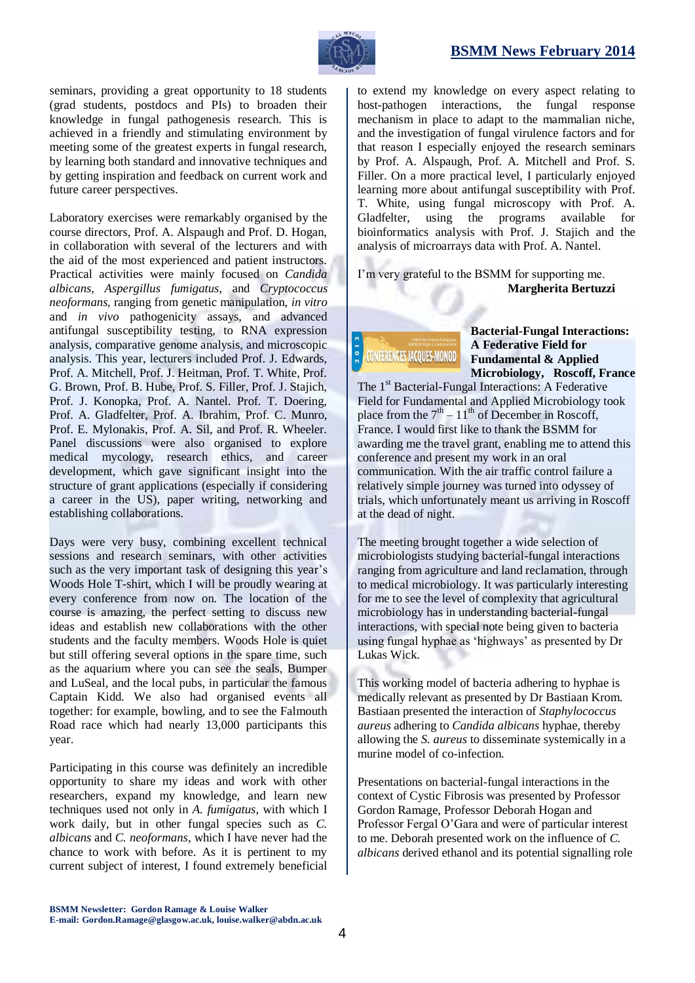# **BSMM News February 2014**



seminars, providing a great opportunity to 18 students (grad students, postdocs and PIs) to broaden their knowledge in fungal pathogenesis research. This is achieved in a friendly and stimulating environment by meeting some of the greatest experts in fungal research, by learning both standard and innovative techniques and by getting inspiration and feedback on current work and future career perspectives.

Laboratory exercises were remarkably organised by the course directors, Prof. A. Alspaugh and Prof. D. Hogan, in collaboration with several of the lecturers and with the aid of the most experienced and patient instructors. Practical activities were mainly focused on *Candida albicans, Aspergillus fumigatus*, and *Cryptococcus neoformans,* ranging from genetic manipulation, *in vitro* and *in vivo* pathogenicity assays, and advanced antifungal susceptibility testing, to RNA expression analysis, comparative genome analysis, and microscopic analysis. This year, lecturers included Prof. J. Edwards, Prof. A. Mitchell, Prof. J. Heitman, Prof. T. White, Prof. G. Brown, Prof. B. Hube, Prof. S. Filler, Prof. J. Stajich, Prof. J. Konopka, Prof. A. Nantel. Prof. T. Doering, Prof. A. Gladfelter, Prof. A. Ibrahim, Prof. C. Munro, Prof. E. Mylonakis, Prof. A. Sil, and Prof. R. Wheeler. Panel discussions were also organised to explore medical mycology, research ethics, and career development, which gave significant insight into the structure of grant applications (especially if considering a career in the US), paper writing, networking and establishing collaborations.

Days were very busy, combining excellent technical sessions and research seminars, with other activities such as the very important task of designing this year's Woods Hole T-shirt, which I will be proudly wearing at every conference from now on. The location of the course is amazing, the perfect setting to discuss new ideas and establish new collaborations with the other students and the faculty members. Woods Hole is quiet but still offering several options in the spare time, such as the aquarium where you can see the seals, Bumper and LuSeal, and the local pubs, in particular the famous Captain Kidd. We also had organised events all together: for example, bowling, and to see the Falmouth Road race which had nearly 13,000 participants this year.

Participating in this course was definitely an incredible opportunity to share my ideas and work with other researchers, expand my knowledge, and learn new techniques used not only in *A. fumigatus*, with which I work daily, but in other fungal species such as *C. albicans* and *C. neoformans*, which I have never had the chance to work with before. As it is pertinent to my current subject of interest, I found extremely beneficial

to extend my knowledge on every aspect relating to host-pathogen interactions, the fungal response mechanism in place to adapt to the mammalian niche, and the investigation of fungal virulence factors and for that reason I especially enjoyed the research seminars by Prof. A. Alspaugh, Prof. A. Mitchell and Prof. S. Filler. On a more practical level, I particularly enjoyed learning more about antifungal susceptibility with Prof. T. White, using fungal microscopy with Prof. A. Gladfelter, using the programs available for bioinformatics analysis with Prof. J. Stajich and the analysis of microarrays data with Prof. A. Nantel.

I'm very grateful to the BSMM for supporting me.  **Margherita Bertuzzi**

NFERENCES JACOUES-MONOD

**Bacterial-Fungal Interactions: A Federative Field for Fundamental & Applied Microbiology, Roscoff, France**

The 1<sup>st</sup> Bacterial-Fungal Interactions: A Federative Field for Fundamental and Applied Microbiology took place from the  $7<sup>th</sup> - 11<sup>th</sup>$  of December in Roscoff, France. I would first like to thank the BSMM for awarding me the travel grant, enabling me to attend this conference and present my work in an oral communication. With the air traffic control failure a relatively simple journey was turned into odyssey of trials, which unfortunately meant us arriving in Roscoff at the dead of night.

The meeting brought together a wide selection of microbiologists studying bacterial-fungal interactions ranging from agriculture and land reclamation, through to medical microbiology. It was particularly interesting for me to see the level of complexity that agricultural microbiology has in understanding bacterial-fungal interactions, with special note being given to bacteria using fungal hyphae as 'highways' as presented by Dr Lukas Wick.

This working model of bacteria adhering to hyphae is medically relevant as presented by Dr Bastiaan Krom. Bastiaan presented the interaction of *Staphylococcus aureus* adhering to *Candida albicans* hyphae, thereby allowing the *S. aureus* to disseminate systemically in a murine model of co-infection.

Presentations on bacterial-fungal interactions in the context of Cystic Fibrosis was presented by Professor Gordon Ramage, Professor Deborah Hogan and Professor Fergal O'Gara and were of particular interest to me. Deborah presented work on the influence of *C. albicans* derived ethanol and its potential signalling role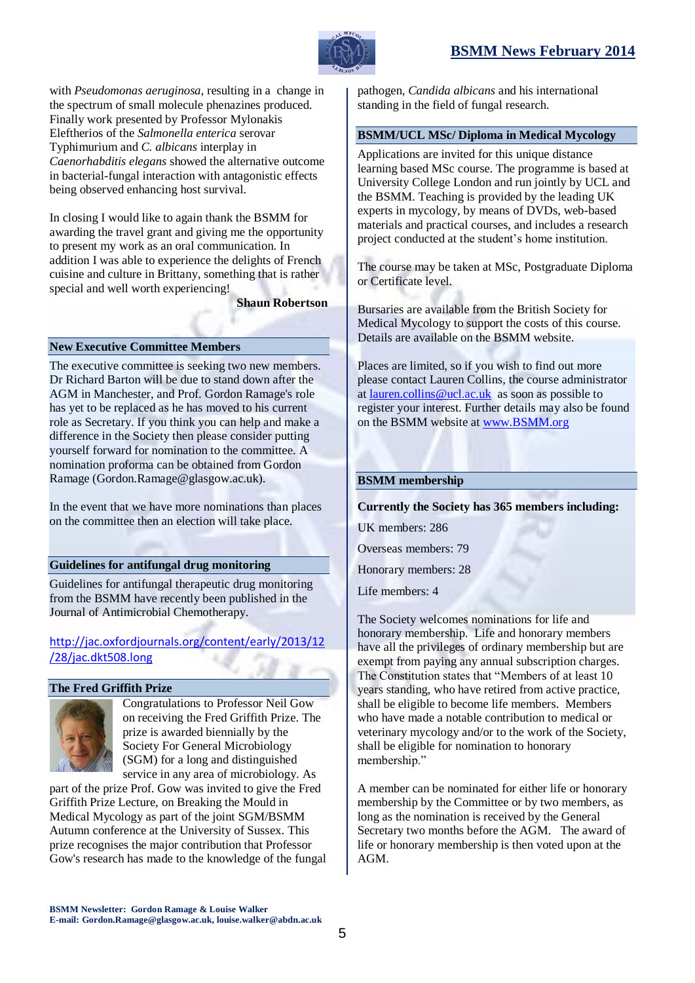



with *Pseudomonas aeruginosa*, resulting in a change in the spectrum of small molecule phenazines produced. Finally work presented by Professor Mylonakis Eleftherios of the *Salmonella enterica* serovar Typhimurium and *C. albicans* interplay in *Caenorhabditis elegans* showed the alternative outcome in bacterial-fungal interaction with antagonistic effects being observed enhancing host survival.

In closing I would like to again thank the BSMM for awarding the travel grant and giving me the opportunity to present my work as an oral communication. In addition I was able to experience the delights of French cuisine and culture in Brittany, something that is rather special and well worth experiencing!

**Shaun Robertson**

# **New Executive Committee Members**

The executive committee is seeking two new members. Dr Richard Barton will be due to stand down after the AGM in Manchester, and Prof. Gordon Ramage's role has yet to be replaced as he has moved to his current role as Secretary. If you think you can help and make a difference in the Society then please consider putting yourself forward for nomination to the committee. A nomination proforma can be obtained from Gordon Ramage (Gordon.Ramage@glasgow.ac.uk).

In the event that we have more nominations than places on the committee then an election will take place.

# **Guidelines for antifungal drug monitoring**

Guidelines for antifungal therapeutic drug monitoring from the BSMM have recently been published in the Journal of Antimicrobial Chemotherapy.

[http://jac.oxfordjournals.org/content/early/2013/12](http://jac.oxfordjournals.org/content/early/2013/12/28/jac.dkt508.long) [/28/jac.dkt508.long](http://jac.oxfordjournals.org/content/early/2013/12/28/jac.dkt508.long)

# **The Fred Griffith Prize**



Congratulations to Professor Neil Gow on receiving the Fred Griffith Prize. The prize is awarded biennially by the Society For General Microbiology (SGM) for a long and distinguished service in any area of microbiology. As

part of the prize Prof. Gow was invited to give the Fred Griffith Prize Lecture, on Breaking the Mould in Medical Mycology as part of the joint SGM/BSMM Autumn conference at the University of Sussex. This prize recognises the major contribution that Professor Gow's research has made to the knowledge of the fungal

pathogen, *Candida albicans* and his international standing in the field of fungal research.

# **BSMM/UCL MSc/ Diploma in Medical Mycology**

Applications are invited for this unique distance learning based MSc course. The programme is based at University College London and run jointly by UCL and the BSMM. Teaching is provided by the leading UK experts in mycology, by means of DVDs, web-based materials and practical courses, and includes a research project conducted at the student's home institution.

The course may be taken at MSc, Postgraduate Diploma or Certificate level.

Bursaries are available from the British Society for Medical Mycology to support the costs of this course. Details are available on the BSMM website.

Places are limited, so if you wish to find out more please contact Lauren Collins, the course administrator a[t lauren.collins@ucl.ac.uk](mailto:lauren.collins@ucl.ac.uk) as soon as possible to register your interest. Further details may also be found on the BSMM website at [www.BSMM.org](http://www.bsmm.org/)

### **BSMM membership**

### **Currently the Society has 365 members including:**

UK members: 286

Overseas members: 79

Honorary members: 28

Life members: 4

The Society welcomes nominations for life and honorary membership. Life and honorary members have all the privileges of ordinary membership but are exempt from paying any annual subscription charges. The Constitution states that "Members of at least 10 years standing, who have retired from active practice, shall be eligible to become life members. Members who have made a notable contribution to medical or veterinary mycology and/or to the work of the Society, shall be eligible for nomination to honorary membership."

A member can be nominated for either life or honorary membership by the Committee or by two members, as long as the nomination is received by the General Secretary two months before the AGM. The award of life or honorary membership is then voted upon at the AGM.

**BSMM Newsletter: Gordon Ramage & Louise Walker E-mail: Gordon.Ramage@glasgow.ac.uk, louise.walker@abdn.ac.uk**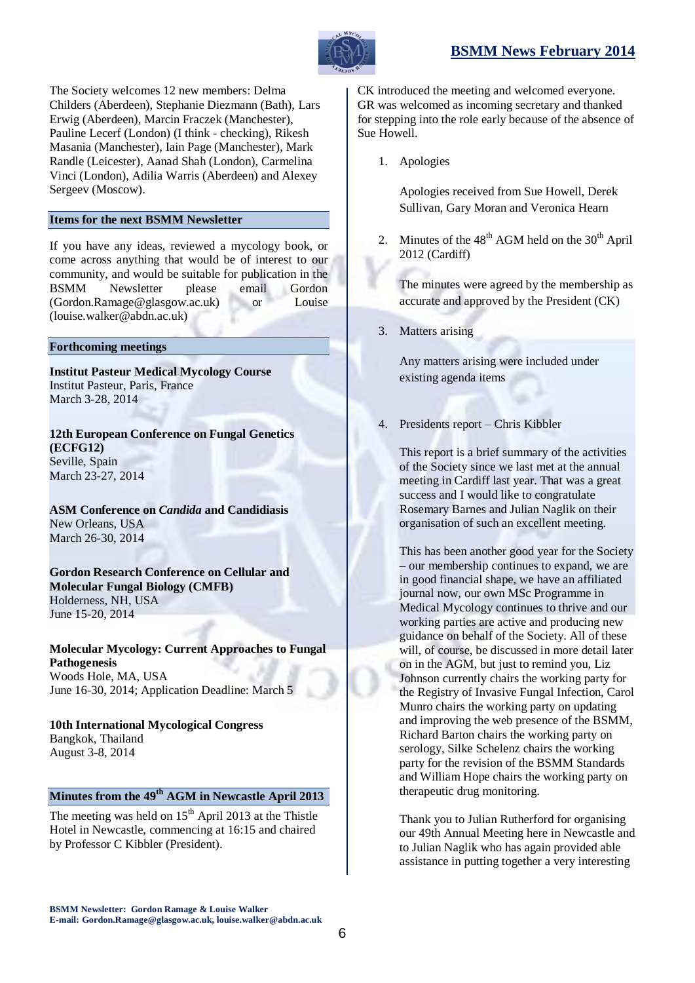

The Society welcomes 12 new members: Delma Childers (Aberdeen), Stephanie Diezmann (Bath), Lars Erwig (Aberdeen), Marcin Fraczek (Manchester), Pauline Lecerf (London) (I think - checking), Rikesh Masania (Manchester), Iain Page (Manchester), Mark Randle (Leicester), Aanad Shah (London), Carmelina Vinci (London), Adilia Warris (Aberdeen) and Alexey Sergeev (Moscow).

# **Items for the next BSMM Newsletter**

If you have any ideas, reviewed a mycology book, or come across anything that would be of interest to our community, and would be suitable for publication in the BSMM Newsletter please email Gordon (Gordon.Ramage@glasgow.ac.uk) or Louise (louise.walker@abdn.ac.uk)

### **Forthcoming meetings**

**[Institut Pasteur Medical Mycology Course](http://www.pasteur.fr/ip/easysite/pasteur/en/teaching/biology-of-micro-organisms/medical-mycology)** Institut Pasteur, Paris, France March 3-28, 2014

**[12th European Conference on Fungal Genetics](http://congreso.us.es/ecfg12/) [\(ECFG12\)](http://congreso.us.es/ecfg12/)** Seville, Spain March 23-27, 2014

**[ASM Conference on](http://conferences.asm.org/index.php/upcoming-conferences/12th-asm-conference-on-candida-and-candidiasis)** *Candida* **and Candidiasis** New Orleans, USA March 26-30, 2014

### **[Gordon Research Conference on Cellular and](http://www.grc.org/programs.aspx?year=2014&program=fungal)  [Molecular Fungal Biology \(CMFB\)](http://www.grc.org/programs.aspx?year=2014&program=fungal)** Holderness, NH, USA June 15-20, 2014

**[Molecular Mycology: Current Approaches to Fungal](http://hermes.mbl.edu/education/courses/special_topics/momy.html)  [Pathogenesis](http://hermes.mbl.edu/education/courses/special_topics/momy.html)** Woods Hole, MA, USA June 16-30, 2014; Application Deadline: March 5

**[10th International Mycological Congress](http://www.imc10.kasetsart.org/index.php/sci-theme)** Bangkok, Thailand August 3-8, 2014

# **Minutes from the 49 th AGM in Newcastle April 2013**

The meeting was held on  $15<sup>th</sup>$  April 2013 at the Thistle Hotel in Newcastle, commencing at 16:15 and chaired by Professor C Kibbler (President).

CK introduced the meeting and welcomed everyone. GR was welcomed as incoming secretary and thanked for stepping into the role early because of the absence of Sue Howell.

1. Apologies

Apologies received from Sue Howell, Derek Sullivan, Gary Moran and Veronica Hearn

2. Minutes of the  $48<sup>th</sup>$  AGM held on the  $30<sup>th</sup>$  April 2012 (Cardiff)

The minutes were agreed by the membership as accurate and approved by the President (CK)

3. Matters arising

Any matters arising were included under existing agenda items

4. Presidents report – Chris Kibbler

This report is a brief summary of the activities of the Society since we last met at the annual meeting in Cardiff last year. That was a great success and I would like to congratulate Rosemary Barnes and Julian Naglik on their organisation of such an excellent meeting.

This has been another good year for the Society – our membership continues to expand, we are in good financial shape, we have an affiliated journal now, our own MSc Programme in Medical Mycology continues to thrive and our working parties are active and producing new guidance on behalf of the Society. All of these will, of course, be discussed in more detail later on in the AGM, but just to remind you, Liz Johnson currently chairs the working party for the Registry of Invasive Fungal Infection, Carol Munro chairs the working party on updating and improving the web presence of the BSMM, Richard Barton chairs the working party on serology, Silke Schelenz chairs the working party for the revision of the BSMM Standards and William Hope chairs the working party on therapeutic drug monitoring.

Thank you to Julian Rutherford for organising our 49th Annual Meeting here in Newcastle and to Julian Naglik who has again provided able assistance in putting together a very interesting

**BSMM Newsletter: Gordon Ramage & Louise Walker E-mail: Gordon.Ramage@glasgow.ac.uk, louise.walker@abdn.ac.uk**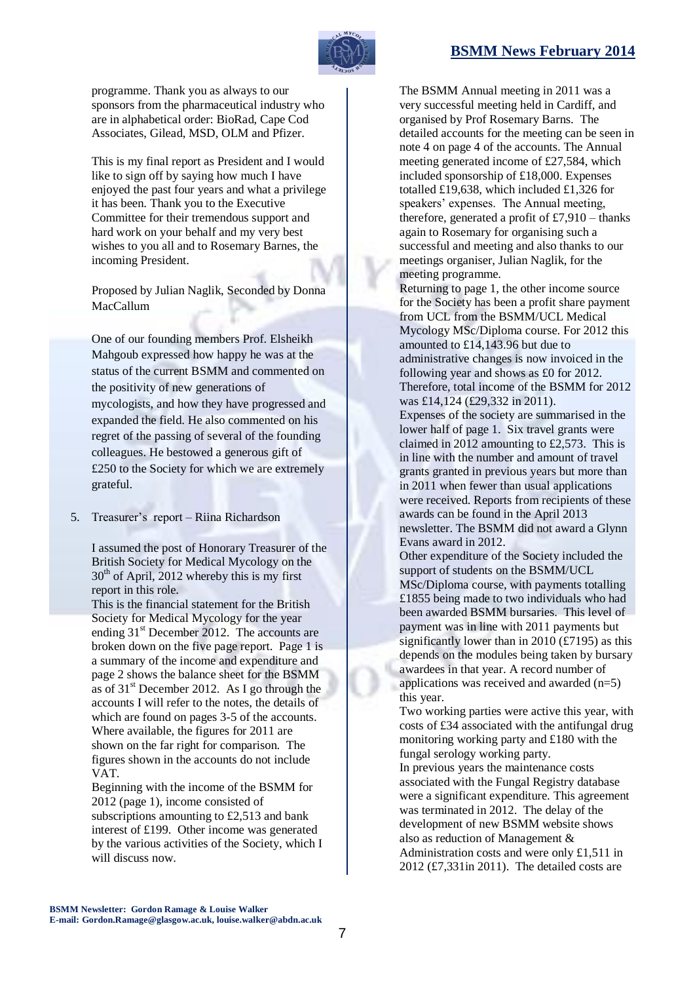

programme. Thank you as always to our sponsors from the pharmaceutical industry who are in alphabetical order: BioRad, Cape Cod Associates, Gilead, MSD, OLM and Pfizer.

This is my final report as President and I would like to sign off by saying how much I have enjoyed the past four years and what a privilege it has been. Thank you to the Executive Committee for their tremendous support and hard work on your behalf and my very best wishes to you all and to Rosemary Barnes, the incoming President.

Proposed by Julian Naglik, Seconded by Donna MacCallum

One of our founding members Prof. Elsheikh Mahgoub expressed how happy he was at the status of the current BSMM and commented on the positivity of new generations of mycologists, and how they have progressed and expanded the field. He also commented on his regret of the passing of several of the founding colleagues. He bestowed a generous gift of £250 to the Society for which we are extremely grateful.

5. Treasurer's report – Riina Richardson

I assumed the post of Honorary Treasurer of the British Society for Medical Mycology on the  $30<sup>th</sup>$  of April, 2012 whereby this is my first report in this role.

This is the financial statement for the British Society for Medical Mycology for the year ending  $31<sup>st</sup>$  December 2012. The accounts are broken down on the five page report. Page 1 is a summary of the income and expenditure and page 2 shows the balance sheet for the BSMM as of  $31<sup>st</sup>$  December 2012. As I go through the accounts I will refer to the notes, the details of which are found on pages 3-5 of the accounts. Where available, the figures for 2011 are shown on the far right for comparison. The figures shown in the accounts do not include VAT.

Beginning with the income of the BSMM for 2012 (page 1), income consisted of subscriptions amounting to £2,513 and bank interest of £199. Other income was generated by the various activities of the Society, which I will discuss now.

The BSMM Annual meeting in 2011 was a very successful meeting held in Cardiff, and organised by Prof Rosemary Barns. The detailed accounts for the meeting can be seen in note 4 on page 4 of the accounts. The Annual meeting generated income of £27,584, which included sponsorship of £18,000. Expenses totalled £19,638, which included £1,326 for speakers' expenses. The Annual meeting, therefore, generated a profit of  $£7,910 -$  thanks again to Rosemary for organising such a successful and meeting and also thanks to our meetings organiser, Julian Naglik, for the meeting programme.

Returning to page 1, the other income source for the Society has been a profit share payment from UCL from the BSMM/UCL Medical Mycology MSc/Diploma course. For 2012 this amounted to £14,143.96 but due to administrative changes is now invoiced in the following year and shows as £0 for 2012. Therefore, total income of the BSMM for 2012 was £14,124 (£29,332 in 2011). Expenses of the society are summarised in the

lower half of page 1. Six travel grants were claimed in 2012 amounting to £2,573. This is in line with the number and amount of travel grants granted in previous years but more than in 2011 when fewer than usual applications were received. Reports from recipients of these awards can be found in the April 2013 newsletter. The BSMM did not award a Glynn Evans award in 2012.

Other expenditure of the Society included the support of students on the BSMM/UCL MSc/Diploma course, with payments totalling £1855 being made to two individuals who had been awarded BSMM bursaries. This level of payment was in line with 2011 payments but significantly lower than in 2010  $(f7195)$  as this depends on the modules being taken by bursary awardees in that year. A record number of applications was received and awarded (n=5) this year.

Two working parties were active this year, with costs of £34 associated with the antifungal drug monitoring working party and £180 with the fungal serology working party. In previous years the maintenance costs associated with the Fungal Registry database were a significant expenditure. This agreement was terminated in 2012. The delay of the development of new BSMM website shows also as reduction of Management & Administration costs and were only £1,511 in 2012 (£7,331in 2011). The detailed costs are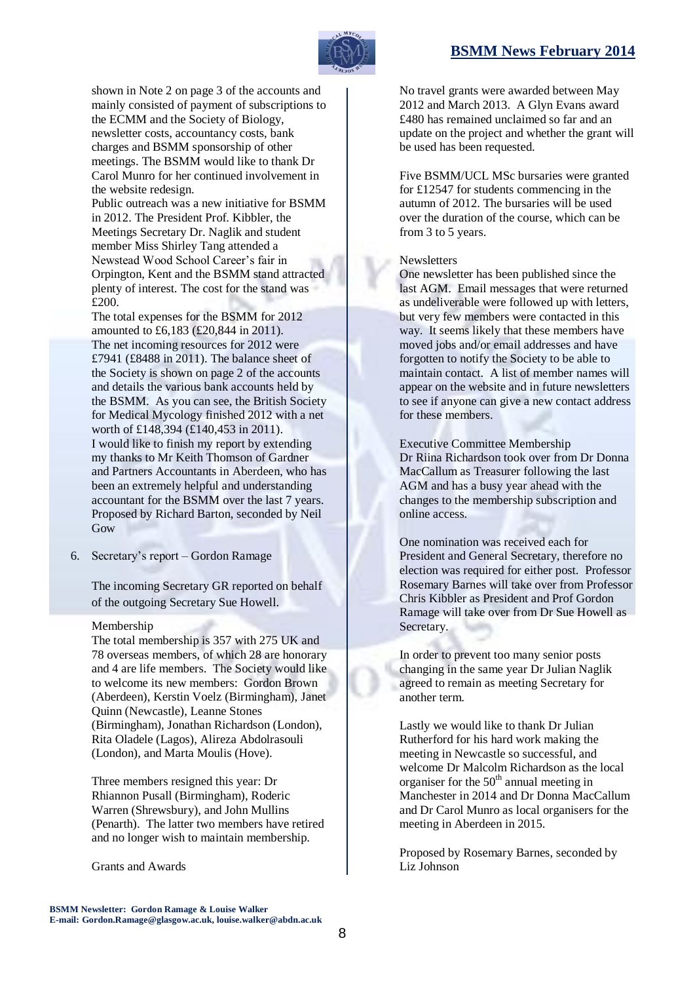

shown in Note 2 on page 3 of the accounts and mainly consisted of payment of subscriptions to the ECMM and the Society of Biology, newsletter costs, accountancy costs, bank charges and BSMM sponsorship of other meetings. The BSMM would like to thank Dr Carol Munro for her continued involvement in the website redesign.

Public outreach was a new initiative for BSMM in 2012. The President Prof. Kibbler, the Meetings Secretary Dr. Naglik and student member Miss Shirley Tang attended a Newstead Wood School Career's fair in Orpington, Kent and the BSMM stand attracted plenty of interest. The cost for the stand was £200.

The total expenses for the BSMM for 2012 amounted to £6,183 (£20,844 in 2011). The net incoming resources for 2012 were £7941 (£8488 in 2011). The balance sheet of the Society is shown on page 2 of the accounts and details the various bank accounts held by the BSMM. As you can see, the British Society for Medical Mycology finished 2012 with a net worth of £148,394 (£140,453 in 2011). I would like to finish my report by extending my thanks to Mr Keith Thomson of Gardner and Partners Accountants in Aberdeen, who has been an extremely helpful and understanding accountant for the BSMM over the last 7 years. Proposed by Richard Barton, seconded by Neil Gow

6. Secretary's report – Gordon Ramage

The incoming Secretary GR reported on behalf of the outgoing Secretary Sue Howell.

### Membership

The total membership is 357 with 275 UK and 78 overseas members, of which 28 are honorary and 4 are life members. The Society would like to welcome its new members: Gordon Brown (Aberdeen), Kerstin Voelz (Birmingham), Janet Quinn (Newcastle), Leanne Stones (Birmingham), Jonathan Richardson (London), Rita Oladele (Lagos), Alireza Abdolrasouli (London), and Marta Moulis (Hove).

Three members resigned this year: Dr Rhiannon Pusall (Birmingham), Roderic Warren (Shrewsbury), and John Mullins (Penarth). The latter two members have retired and no longer wish to maintain membership.

Grants and Awards

No travel grants were awarded between May 2012 and March 2013. A Glyn Evans award £480 has remained unclaimed so far and an update on the project and whether the grant will be used has been requested.

Five BSMM/UCL MSc bursaries were granted for £12547 for students commencing in the autumn of 2012. The bursaries will be used over the duration of the course, which can be from 3 to 5 years.

### Newsletters

One newsletter has been published since the last AGM. Email messages that were returned as undeliverable were followed up with letters, but very few members were contacted in this way. It seems likely that these members have moved jobs and/or email addresses and have forgotten to notify the Society to be able to maintain contact. A list of member names will appear on the website and in future newsletters to see if anyone can give a new contact address for these members.

Executive Committee Membership Dr Riina Richardson took over from Dr Donna MacCallum as Treasurer following the last AGM and has a busy year ahead with the changes to the membership subscription and online access.

One nomination was received each for President and General Secretary, therefore no election was required for either post. Professor Rosemary Barnes will take over from Professor Chris Kibbler as President and Prof Gordon Ramage will take over from Dr Sue Howell as Secretary.

In order to prevent too many senior posts changing in the same year Dr Julian Naglik agreed to remain as meeting Secretary for another term.

Lastly we would like to thank Dr Julian Rutherford for his hard work making the meeting in Newcastle so successful, and welcome Dr Malcolm Richardson as the local organiser for the  $50<sup>th</sup>$  annual meeting in Manchester in 2014 and Dr Donna MacCallum and Dr Carol Munro as local organisers for the meeting in Aberdeen in 2015.

Proposed by Rosemary Barnes, seconded by Liz Johnson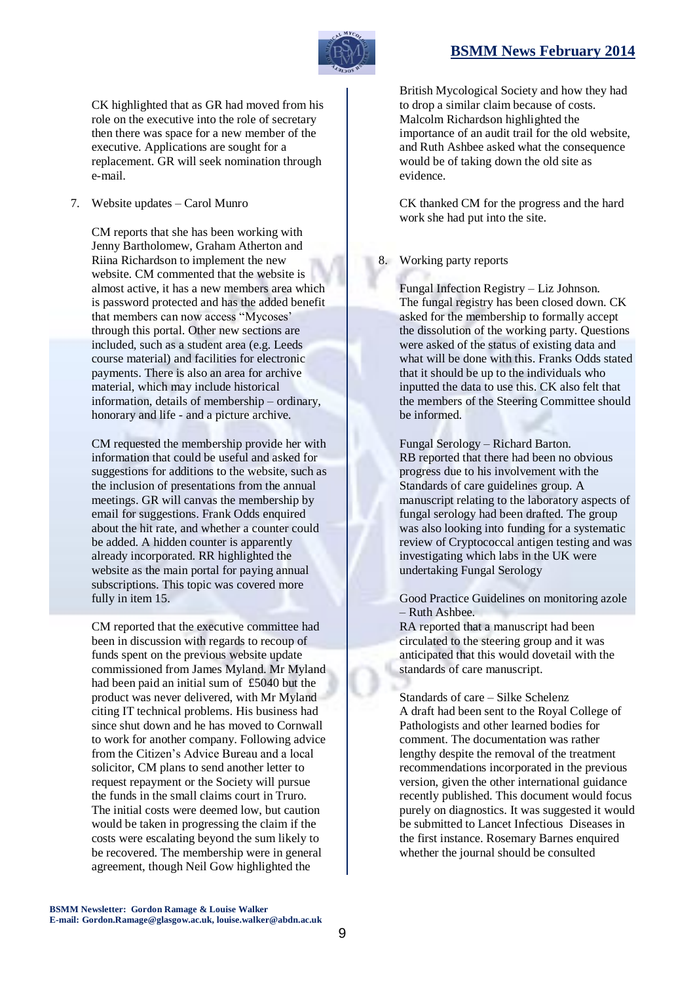

CK highlighted that as GR had moved from his role on the executive into the role of secretary then there was space for a new member of the executive. Applications are sought for a replacement. GR will seek nomination through e-mail.

# 7. Website updates – Carol Munro

CM reports that she has been working with Jenny Bartholomew, Graham Atherton and Riina Richardson to implement the new website. CM commented that the website is almost active, it has a new members area which is password protected and has the added benefit that members can now access "Mycoses' through this portal. Other new sections are included, such as a student area (e.g. Leeds course material) and facilities for electronic payments. There is also an area for archive material, which may include historical information, details of membership – ordinary, honorary and life - and a picture archive.

CM requested the membership provide her with information that could be useful and asked for suggestions for additions to the website, such as the inclusion of presentations from the annual meetings. GR will canvas the membership by email for suggestions. Frank Odds enquired about the hit rate, and whether a counter could be added. A hidden counter is apparently already incorporated. RR highlighted the website as the main portal for paying annual subscriptions. This topic was covered more fully in item 15.

CM reported that the executive committee had been in discussion with regards to recoup of funds spent on the previous website update commissioned from James Myland. Mr Myland had been paid an initial sum of £5040 but the product was never delivered, with Mr Myland citing IT technical problems. His business had since shut down and he has moved to Cornwall to work for another company. Following advice from the Citizen's Advice Bureau and a local solicitor, CM plans to send another letter to request repayment or the Society will pursue the funds in the small claims court in Truro. The initial costs were deemed low, but caution would be taken in progressing the claim if the costs were escalating beyond the sum likely to be recovered. The membership were in general agreement, though Neil Gow highlighted the

British Mycological Society and how they had to drop a similar claim because of costs. Malcolm Richardson highlighted the importance of an audit trail for the old website, and Ruth Ashbee asked what the consequence would be of taking down the old site as evidence.

CK thanked CM for the progress and the hard work she had put into the site.

# 8. Working party reports

Fungal Infection Registry – Liz Johnson. The fungal registry has been closed down. CK asked for the membership to formally accept the dissolution of the working party. Questions were asked of the status of existing data and what will be done with this. Franks Odds stated that it should be up to the individuals who inputted the data to use this. CK also felt that the members of the Steering Committee should be informed.

Fungal Serology – Richard Barton. RB reported that there had been no obvious progress due to his involvement with the Standards of care guidelines group. A manuscript relating to the laboratory aspects of fungal serology had been drafted. The group was also looking into funding for a systematic review of Cryptococcal antigen testing and was investigating which labs in the UK were undertaking Fungal Serology

Good Practice Guidelines on monitoring azole – Ruth Ashbee.

RA reported that a manuscript had been circulated to the steering group and it was anticipated that this would dovetail with the standards of care manuscript.

Standards of care – Silke Schelenz A draft had been sent to the Royal College of Pathologists and other learned bodies for comment. The documentation was rather lengthy despite the removal of the treatment recommendations incorporated in the previous version, given the other international guidance recently published. This document would focus purely on diagnostics. It was suggested it would be submitted to Lancet Infectious Diseases in the first instance. Rosemary Barnes enquired whether the journal should be consulted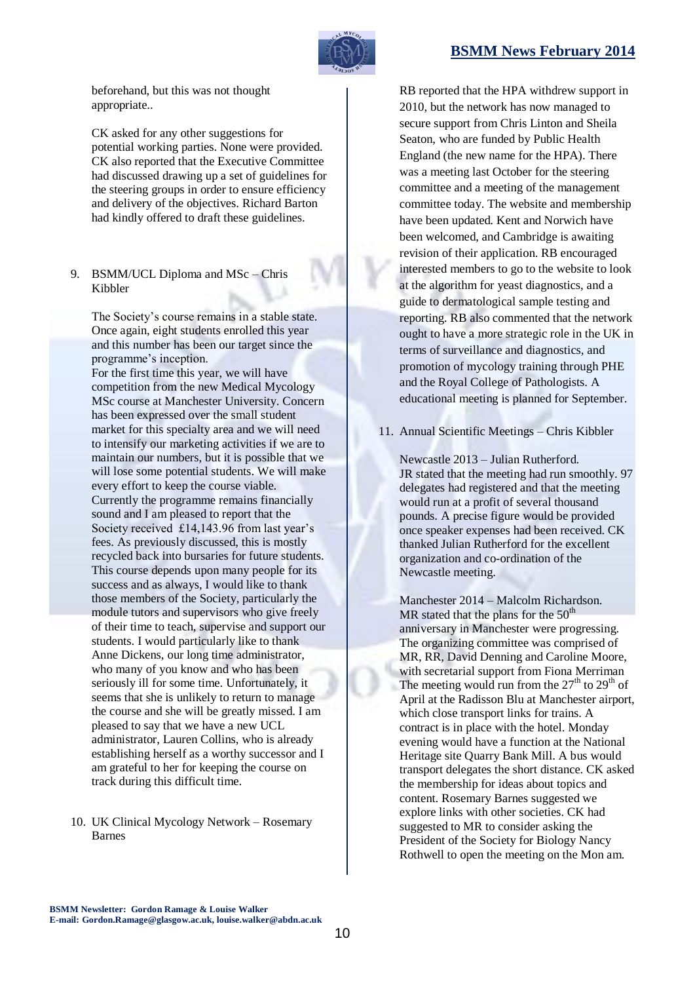

beforehand, but this was not thought appropriate..

CK asked for any other suggestions for potential working parties. None were provided. CK also reported that the Executive Committee had discussed drawing up a set of guidelines for the steering groups in order to ensure efficiency and delivery of the objectives. Richard Barton had kindly offered to draft these guidelines.

# 9. BSMM/UCL Diploma and MSc – Chris Kibbler

The Society's course remains in a stable state. Once again, eight students enrolled this year and this number has been our target since the programme's inception. For the first time this year, we will have competition from the new Medical Mycology MSc course at Manchester University. Concern has been expressed over the small student market for this specialty area and we will need to intensify our marketing activities if we are to maintain our numbers, but it is possible that we will lose some potential students. We will make every effort to keep the course viable. Currently the programme remains financially sound and I am pleased to report that the Society received £14,143.96 from last year's fees. As previously discussed, this is mostly recycled back into bursaries for future students. This course depends upon many people for its success and as always, I would like to thank those members of the Society, particularly the module tutors and supervisors who give freely of their time to teach, supervise and support our students. I would particularly like to thank Anne Dickens, our long time administrator, who many of you know and who has been seriously ill for some time. Unfortunately, it seems that she is unlikely to return to manage the course and she will be greatly missed. I am pleased to say that we have a new UCL administrator, Lauren Collins, who is already establishing herself as a worthy successor and I am grateful to her for keeping the course on track during this difficult time.

10. UK Clinical Mycology Network – Rosemary Barnes

RB reported that the HPA withdrew support in 2010, but the network has now managed to secure support from Chris Linton and Sheila Seaton, who are funded by Public Health England (the new name for the HPA). There was a meeting last October for the steering committee and a meeting of the management committee today. The website and membership have been updated. Kent and Norwich have been welcomed, and Cambridge is awaiting revision of their application. RB encouraged interested members to go to the website to look at the algorithm for yeast diagnostics, and a guide to dermatological sample testing and reporting. RB also commented that the network ought to have a more strategic role in the UK in terms of surveillance and diagnostics, and promotion of mycology training through PHE and the Royal College of Pathologists. A educational meeting is planned for September.

11. Annual Scientific Meetings – Chris Kibbler

Newcastle 2013 – Julian Rutherford. JR stated that the meeting had run smoothly. 97 delegates had registered and that the meeting would run at a profit of several thousand pounds. A precise figure would be provided once speaker expenses had been received. CK thanked Julian Rutherford for the excellent organization and co-ordination of the Newcastle meeting.

Manchester 2014 – Malcolm Richardson. MR stated that the plans for the  $50<sup>th</sup>$ anniversary in Manchester were progressing. The organizing committee was comprised of MR, RR, David Denning and Caroline Moore, with secretarial support from Fiona Merriman The meeting would run from the  $27<sup>th</sup>$  to  $29<sup>th</sup>$  of April at the Radisson Blu at Manchester airport, which close transport links for trains. A contract is in place with the hotel. Monday evening would have a function at the National Heritage site Quarry Bank Mill. A bus would transport delegates the short distance. CK asked the membership for ideas about topics and content. Rosemary Barnes suggested we explore links with other societies. CK had suggested to MR to consider asking the President of the Society for Biology Nancy Rothwell to open the meeting on the Mon am.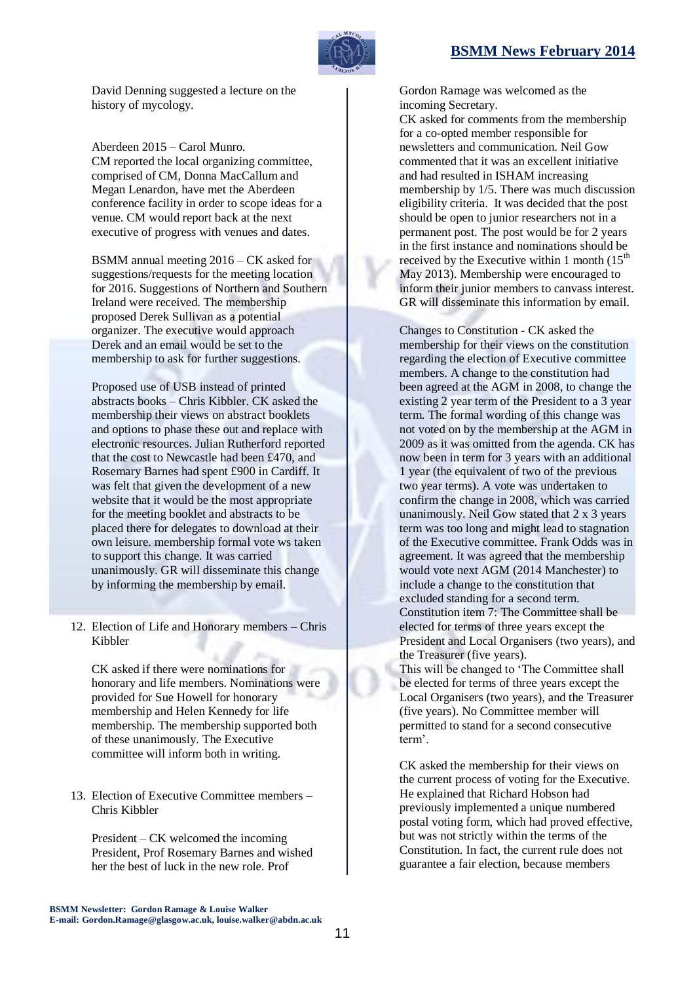

David Denning suggested a lecture on the history of mycology.

Aberdeen 2015 – Carol Munro. CM reported the local organizing committee, comprised of CM, Donna MacCallum and Megan Lenardon, have met the Aberdeen conference facility in order to scope ideas for a venue. CM would report back at the next executive of progress with venues and dates.

BSMM annual meeting 2016 – CK asked for suggestions/requests for the meeting location for 2016. Suggestions of Northern and Southern Ireland were received. The membership proposed Derek Sullivan as a potential organizer. The executive would approach Derek and an email would be set to the membership to ask for further suggestions.

Proposed use of USB instead of printed abstracts books – Chris Kibbler. CK asked the membership their views on abstract booklets and options to phase these out and replace with electronic resources. Julian Rutherford reported that the cost to Newcastle had been £470, and Rosemary Barnes had spent £900 in Cardiff. It was felt that given the development of a new website that it would be the most appropriate for the meeting booklet and abstracts to be placed there for delegates to download at their own leisure. membership formal vote ws taken to support this change. It was carried unanimously. GR will disseminate this change by informing the membership by email.

12. Election of Life and Honorary members – Chris Kibbler

CK asked if there were nominations for honorary and life members. Nominations were provided for Sue Howell for honorary membership and Helen Kennedy for life membership. The membership supported both of these unanimously. The Executive committee will inform both in writing.

13. Election of Executive Committee members – Chris Kibbler

President – CK welcomed the incoming President, Prof Rosemary Barnes and wished her the best of luck in the new role. Prof

Gordon Ramage was welcomed as the incoming Secretary.

CK asked for comments from the membership for a co-opted member responsible for newsletters and communication. Neil Gow commented that it was an excellent initiative and had resulted in ISHAM increasing membership by 1/5. There was much discussion eligibility criteria. It was decided that the post should be open to junior researchers not in a permanent post. The post would be for 2 years in the first instance and nominations should be received by the Executive within 1 month  $(15<sup>th</sup>$ May 2013). Membership were encouraged to inform their junior members to canvass interest. GR will disseminate this information by email.

Changes to Constitution - CK asked the membership for their views on the constitution regarding the election of Executive committee members. A change to the constitution had been agreed at the AGM in 2008, to change the existing 2 year term of the President to a 3 year term. The formal wording of this change was not voted on by the membership at the AGM in 2009 as it was omitted from the agenda. CK has now been in term for 3 years with an additional 1 year (the equivalent of two of the previous two year terms). A vote was undertaken to confirm the change in 2008, which was carried unanimously. Neil Gow stated that 2 x 3 years term was too long and might lead to stagnation of the Executive committee. Frank Odds was in agreement. It was agreed that the membership would vote next AGM (2014 Manchester) to include a change to the constitution that excluded standing for a second term. Constitution item 7: The Committee shall be elected for terms of three years except the President and Local Organisers (two years), and the Treasurer (five years). This will be changed to 'The Committee shall be elected for terms of three years except the Local Organisers (two years), and the Treasurer (five years). No Committee member will permitted to stand for a second consecutive term'.

CK asked the membership for their views on the current process of voting for the Executive. He explained that Richard Hobson had previously implemented a unique numbered postal voting form, which had proved effective, but was not strictly within the terms of the Constitution. In fact, the current rule does not guarantee a fair election, because members